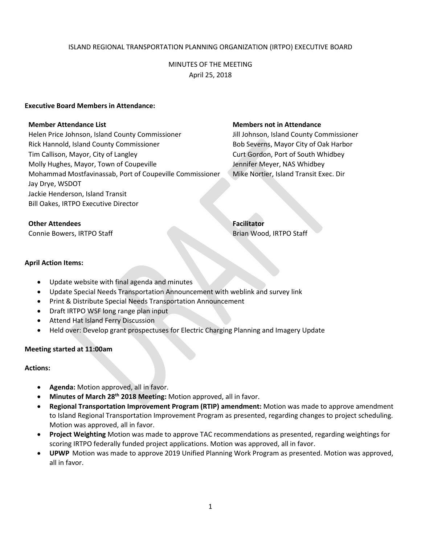## ISLAND REGIONAL TRANSPORTATION PLANNING ORGANIZATION (IRTPO) EXECUTIVE BOARD

## MINUTES OF THE MEETING April 25, 2018

#### **Executive Board Members in Attendance:**

Helen Price Johnson, Island County Commissioner Jill Johnson, Island County Commissioner Rick Hannold, Island County Commissioner **Bob Severns, Mayor City of Oak Harbor** Tim Callison, Mayor, City of Langley Curt Gordon, Port of South Whidbey Molly Hughes, Mayor, Town of Coupeville Gordon Meyer, NAS Whidbey Mohammad Mostfavinassab, Port of Coupeville Commissioner Mike Nortier, Island Transit Exec. Dir Jay Drye, WSDOT Jackie Henderson, Island Transit Bill Oakes, IRTPO Executive Director

#### **Member Attendance List Members not in Attendance**

## **Other Attendees Facilitator**

Connie Bowers, IRTPO Staff Brian Wood, IRTPO Staff Brian Wood, IRTPO Staff

#### **April Action Items:**

- Update website with final agenda and minutes
- Update Special Needs Transportation Announcement with weblink and survey link
- Print & Distribute Special Needs Transportation Announcement
- Draft IRTPO WSF long range plan input
- Attend Hat Island Ferry Discussion
- Held over: Develop grant prospectuses for Electric Charging Planning and Imagery Update

## **Meeting started at 11:00am**

## **Actions:**

- **Agenda:** Motion approved, all in favor.
- **Minutes of March 28th 2018 Meeting:** Motion approved, all in favor.
- **Regional Transportation Improvement Program (RTIP) amendment:** Motion was made to approve amendment to Island Regional Transportation Improvement Program as presented, regarding changes to project scheduling. Motion was approved, all in favor.
- **Project Weighting** Motion was made to approve TAC recommendations as presented, regarding weightings for scoring IRTPO federally funded project applications. Motion was approved, all in favor.
- **UPWP** Motion was made to approve 2019 Unified Planning Work Program as presented. Motion was approved, all in favor.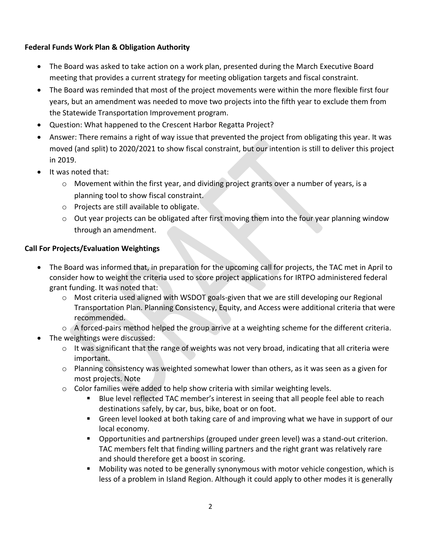# **Federal Funds Work Plan & Obligation Authority**

- The Board was asked to take action on a work plan, presented during the March Executive Board meeting that provides a current strategy for meeting obligation targets and fiscal constraint.
- The Board was reminded that most of the project movements were within the more flexible first four years, but an amendment was needed to move two projects into the fifth year to exclude them from the Statewide Transportation Improvement program.
- Question: What happened to the Crescent Harbor Regatta Project?
- Answer: There remains a right of way issue that prevented the project from obligating this year. It was moved (and split) to 2020/2021 to show fiscal constraint, but our intention is still to deliver this project in 2019.
- It was noted that:
	- o Movement within the first year, and dividing project grants over a number of years, is a planning tool to show fiscal constraint.
	- o Projects are still available to obligate.
	- o Out year projects can be obligated after first moving them into the four year planning window through an amendment.

# **Call For Projects/Evaluation Weightings**

- The Board was informed that, in preparation for the upcoming call for projects, the TAC met in April to consider how to weight the criteria used to score project applications for IRTPO administered federal grant funding. It was noted that:
	- $\circ$  Most criteria used aligned with WSDOT goals-given that we are still developing our Regional Transportation Plan. Planning Consistency, Equity, and Access were additional criteria that were recommended.
	- $\circ$  A forced-pairs method helped the group arrive at a weighting scheme for the different criteria.
- The weightings were discussed:
	- $\circ$  It was significant that the range of weights was not very broad, indicating that all criteria were important.
	- $\circ$  Planning consistency was weighted somewhat lower than others, as it was seen as a given for most projects. Note
	- $\circ$  Color families were added to help show criteria with similar weighting levels.
		- **Blue level reflected TAC member's interest in seeing that all people feel able to reach** destinations safely, by car, bus, bike, boat or on foot.
		- **Green level looked at both taking care of and improving what we have in support of our** local economy.
		- **Deportunities and partnerships (grouped under green level) was a stand-out criterion.** TAC members felt that finding willing partners and the right grant was relatively rare and should therefore get a boost in scoring.
		- Mobility was noted to be generally synonymous with motor vehicle congestion, which is less of a problem in Island Region. Although it could apply to other modes it is generally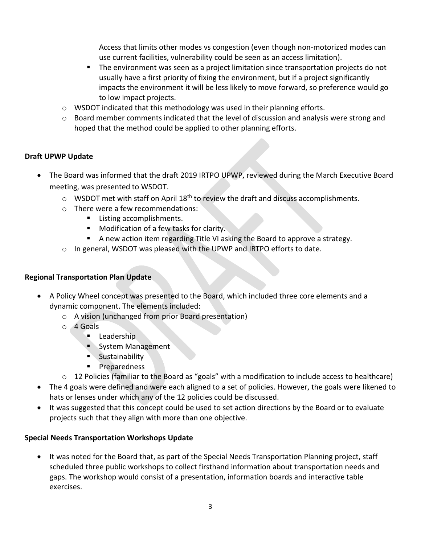Access that limits other modes vs congestion (even though non-motorized modes can use current facilities, vulnerability could be seen as an access limitation).

- **The environment was seen as a project limitation since transportation projects do not** usually have a first priority of fixing the environment, but if a project significantly impacts the environment it will be less likely to move forward, so preference would go to low impact projects.
- $\circ$  WSDOT indicated that this methodology was used in their planning efforts.
- $\circ$  Board member comments indicated that the level of discussion and analysis were strong and hoped that the method could be applied to other planning efforts.

# **Draft UPWP Update**

- The Board was informed that the draft 2019 IRTPO UPWP, reviewed during the March Executive Board meeting, was presented to WSDOT.
	- $\circ$  WSDOT met with staff on April 18<sup>th</sup> to review the draft and discuss accomplishments.
	- o There were a few recommendations:
		- Listing accomplishments.
		- **Modification of a few tasks for clarity.**
		- A new action item regarding Title VI asking the Board to approve a strategy.
	- o In general, WSDOT was pleased with the UPWP and IRTPO efforts to date.

# **Regional Transportation Plan Update**

- A Policy Wheel concept was presented to the Board, which included three core elements and a dynamic component. The elements included:
	- o A vision (unchanged from prior Board presentation)
	- o 4 Goals
		- **Leadership**
		- System Management
		- **Sustainability**
		- **Preparedness**
	- o 12 Policies (familiar to the Board as "goals" with a modification to include access to healthcare)
- The 4 goals were defined and were each aligned to a set of policies. However, the goals were likened to hats or lenses under which any of the 12 policies could be discussed.
- It was suggested that this concept could be used to set action directions by the Board or to evaluate projects such that they align with more than one objective.

# **Special Needs Transportation Workshops Update**

• It was noted for the Board that, as part of the Special Needs Transportation Planning project, staff scheduled three public workshops to collect firsthand information about transportation needs and gaps. The workshop would consist of a presentation, information boards and interactive table exercises.